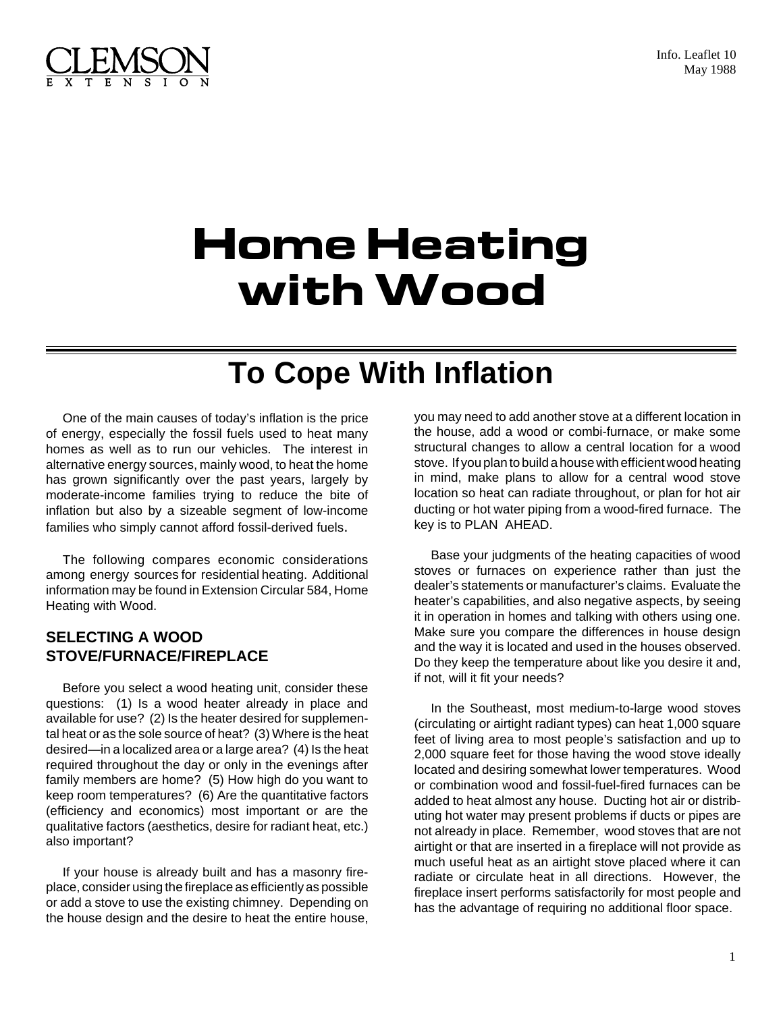



# **Home Heating with Wood**

## **To Cope With Inflation**

One of the main causes of today's inflation is the price of energy, especially the fossil fuels used to heat many homes as well as to run our vehicles. The interest in alternative energy sources, mainly wood, to heat the home has grown significantly over the past years, largely by moderate-income families trying to reduce the bite of inflation but also by a sizeable segment of low-income families who simply cannot afford fossil-derived fuels.

The following compares economic considerations among energy sources for residential heating. Additional information may be found in Extension Circular 584, Home Heating with Wood.

#### **SELECTING A WOOD STOVE/FURNACE/FIREPLACE**

Before you select a wood heating unit, consider these questions: (1) Is a wood heater already in place and available for use? (2) Is the heater desired for supplemental heat or as the sole source of heat? (3) Where is the heat desired—in a localized area or a large area? (4) Is the heat required throughout the day or only in the evenings after family members are home? (5) How high do you want to keep room temperatures? (6) Are the quantitative factors (efficiency and economics) most important or are the qualitative factors (aesthetics, desire for radiant heat, etc.) also important?

If your house is already built and has a masonry fireplace, consider using the fireplace as efficiently as possible or add a stove to use the existing chimney. Depending on the house design and the desire to heat the entire house, you may need to add another stove at a different location in the house, add a wood or combi-furnace, or make some structural changes to allow a central location for a wood stove. If you plan to build a house with efficient wood heating in mind, make plans to allow for a central wood stove location so heat can radiate throughout, or plan for hot air ducting or hot water piping from a wood-fired furnace. The key is to PLAN AHEAD.

Base your judgments of the heating capacities of wood stoves or furnaces on experience rather than just the dealer's statements or manufacturer's claims. Evaluate the heater's capabilities, and also negative aspects, by seeing it in operation in homes and talking with others using one. Make sure you compare the differences in house design and the way it is located and used in the houses observed. Do they keep the temperature about like you desire it and, if not, will it fit your needs?

In the Southeast, most medium-to-large wood stoves (circulating or airtight radiant types) can heat 1,000 square feet of living area to most people's satisfaction and up to 2,000 square feet for those having the wood stove ideally located and desiring somewhat lower temperatures. Wood or combination wood and fossil-fuel-fired furnaces can be added to heat almost any house. Ducting hot air or distributing hot water may present problems if ducts or pipes are not already in place. Remember, wood stoves that are not airtight or that are inserted in a fireplace will not provide as much useful heat as an airtight stove placed where it can radiate or circulate heat in all directions. However, the fireplace insert performs satisfactorily for most people and has the advantage of requiring no additional floor space.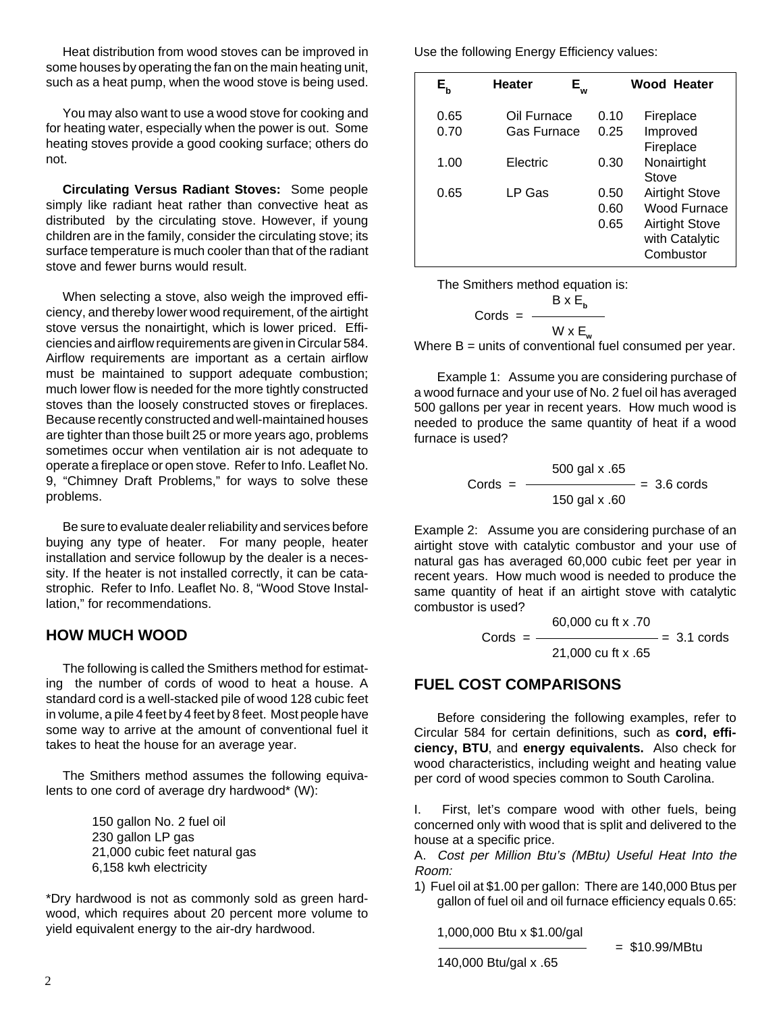Heat distribution from wood stoves can be improved in some houses by operating the fan on the main heating unit, such as a heat pump, when the wood stove is being used.

You may also want to use a wood stove for cooking and for heating water, especially when the power is out. Some heating stoves provide a good cooking surface; others do not.

**Circulating Versus Radiant Stoves:** Some people simply like radiant heat rather than convective heat as distributed by the circulating stove. However, if young children are in the family, consider the circulating stove; its surface temperature is much cooler than that of the radiant stove and fewer burns would result.

When selecting a stove, also weigh the improved efficiency, and thereby lower wood requirement, of the airtight stove versus the nonairtight, which is lower priced. Efficiencies and airflow requirements are given in Circular 584. Airflow requirements are important as a certain airflow must be maintained to support adequate combustion; much lower flow is needed for the more tightly constructed stoves than the loosely constructed stoves or fireplaces. Because recently constructed and well-maintained houses are tighter than those built 25 or more years ago, problems sometimes occur when ventilation air is not adequate to operate a fireplace or open stove. Refer to Info. Leaflet No. 9, "Chimney Draft Problems," for ways to solve these problems.

Be sure to evaluate dealer reliability and services before buying any type of heater. For many people, heater installation and service followup by the dealer is a necessity. If the heater is not installed correctly, it can be catastrophic. Refer to Info. Leaflet No. 8, "Wood Stove Installation," for recommendations.

#### **HOW MUCH WOOD**

The following is called the Smithers method for estimating the number of cords of wood to heat a house. A standard cord is a well-stacked pile of wood 128 cubic feet in volume, a pile 4 feet by 4 feet by 8 feet. Most people have some way to arrive at the amount of conventional fuel it takes to heat the house for an average year.

The Smithers method assumes the following equivalents to one cord of average dry hardwood\* (W):

> 150 gallon No. 2 fuel oil 230 gallon LP gas 21,000 cubic feet natural gas 6,158 kwh electricity

\*Dry hardwood is not as commonly sold as green hardwood, which requires about 20 percent more volume to yield equivalent energy to the air-dry hardwood.

Use the following Energy Efficiency values:

| $\mathsf{E}_{\mathsf{b}}$ | <b>Heater</b><br>E.<br>ัพ  |                      | Wood Heater                                                                                   |
|---------------------------|----------------------------|----------------------|-----------------------------------------------------------------------------------------------|
| 0.65<br>0.70              | Oil Furnace<br>Gas Furnace | 0.10<br>0.25         | Fireplace<br>Improved<br>Fireplace                                                            |
| 1.00                      | Electric                   | 0.30                 | Nonairtight<br>Stove                                                                          |
| 0.65                      | LP Gas                     | 0.50<br>0.60<br>0.65 | <b>Airtight Stove</b><br>Wood Furnace<br><b>Airtight Stove</b><br>with Catalytic<br>Combustor |

The Smithers method equation is:

$$
Cords = \frac{B \times E_b}{W \times E_w}
$$

Where  $B =$  units of conventional fuel consumed per year.

Example 1: Assume you are considering purchase of a wood furnace and your use of No. 2 fuel oil has averaged 500 gallons per year in recent years. How much wood is needed to produce the same quantity of heat if a wood furnace is used?

$$
Cords = \frac{500 \text{ gal x } .65}{150 \text{ gal x } .60} = 3.6 \text{ cords}
$$

Example 2: Assume you are considering purchase of an airtight stove with catalytic combustor and your use of natural gas has averaged 60,000 cubic feet per year in recent years. How much wood is needed to produce the same quantity of heat if an airtight stove with catalytic combustor is used?

$$
Cords = \frac{60,000 \text{ cu ft x .70}}{21,000 \text{ cu ft x .65}} = 3.1 \text{ cords}
$$

#### **FUEL COST COMPARISONS**

Before considering the following examples, refer to Circular 584 for certain definitions, such as **cord, efficiency, BTU**, and **energy equivalents.** Also check for wood characteristics, including weight and heating value per cord of wood species common to South Carolina.

I. First, let's compare wood with other fuels, being concerned only with wood that is split and delivered to the house at a specific price.

A. Cost per Million Btu's (MBtu) Useful Heat Into the Room:

1) Fuel oil at \$1.00 per gallon: There are 140,000 Btus per gallon of fuel oil and oil furnace efficiency equals 0.65:

1,000,000 Btu x \$1.00/gal

140,000 Btu/gal x .65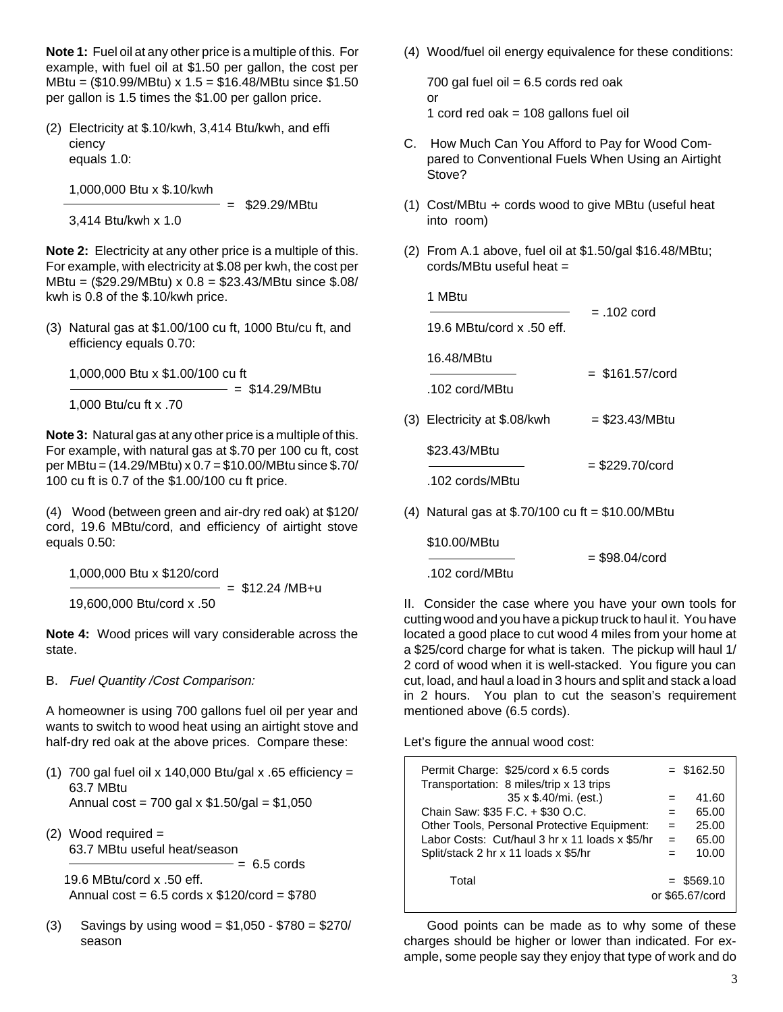**Note 1:** Fuel oil at any other price is a multiple of this. For example, with fuel oil at \$1.50 per gallon, the cost per MBtu = (\$10.99/MBtu) x 1.5 = \$16.48/MBtu since \$1.50 per gallon is 1.5 times the \$1.00 per gallon price.

(2) Electricity at \$.10/kwh, 3,414 Btu/kwh, and effi ciency equals 1.0:

1,000,000 Btu x \$.10/kwh

 = \$29.29/MBtu 3,414 Btu/kwh x 1.0

**Note 2:** Electricity at any other price is a multiple of this. For example, with electricity at \$.08 per kwh, the cost per MBtu = (\$29.29/MBtu) x 0.8 = \$23.43/MBtu since \$.08/ kwh is 0.8 of the \$.10/kwh price.

(3) Natural gas at \$1.00/100 cu ft, 1000 Btu/cu ft, and efficiency equals 0.70:

1,000,000 Btu x \$1.00/100 cu ft

= \$14.29/MBtu

1,000 Btu/cu ft x .70

**Note 3:** Natural gas at any other price is a multiple of this. For example, with natural gas at \$.70 per 100 cu ft, cost per MBtu = (14.29/MBtu) x 0.7 = \$10.00/MBtu since \$.70/ 100 cu ft is 0.7 of the \$1.00/100 cu ft price.

(4) Wood (between green and air-dry red oak) at \$120/ cord, 19.6 MBtu/cord, and efficiency of airtight stove equals 0.50:

1,000,000 Btu x \$120/cord

 $=$  \$12.24 /MB+u 19,600,000 Btu/cord x .50

**Note 4:** Wood prices will vary considerable across the state.

B. Fuel Quantity /Cost Comparison:

A homeowner is using 700 gallons fuel oil per year and wants to switch to wood heat using an airtight stove and half-dry red oak at the above prices. Compare these:

- (1) 700 gal fuel oil x 140,000 Btu/gal x .65 efficiency = 63.7 MBtu Annual cost = 700 gal x \$1.50/gal = \$1,050
- (2) Wood required  $=$ 63.7 MBtu useful heat/season  $= 6.5$  cords

 19.6 MBtu/cord x .50 eff. Annual  $cost = 6.5 \text{ cords} \times $120\text{/cord} = $780$ 

 $(3)$  Savings by using wood = \$1,050 - \$780 = \$270/ season

(4) Wood/fuel oil energy equivalence for these conditions:

700 gal fuel oil  $= 6.5$  cords red oak or 1 cord red oak  $= 108$  gallons fuel oil

- C. How Much Can You Afford to Pay for Wood Compared to Conventional Fuels When Using an Airtight Stove?
- (1) Cost/MBtu  $\div$  cords wood to give MBtu (useful heat into room)
- (2) From A.1 above, fuel oil at \$1.50/gal \$16.48/MBtu; cords/MBtu useful heat =

|     | 1 MBtu                                         | $= .102$ cord     |  |
|-----|------------------------------------------------|-------------------|--|
|     | 19.6 MBtu/cord x $.50$ eff.                    |                   |  |
|     | 16.48/MBtu                                     | $=$ \$161.57/cord |  |
|     | .102 $\text{cord}/\text{MB}$ fu                |                   |  |
|     | (3) Electricity at \$.08/kwh                   | $= $23.43/MB$ tu  |  |
|     | \$23.43/MBtu                                   | = \$229.70/cord   |  |
|     | .102 cords/MBtu                                |                   |  |
| (4) | Natural gas at $$.70/100$ cu ft = \$10.00/MBtu |                   |  |

\$10.00/MBtu

.102 cord/MBtu

II. Consider the case where you have your own tools for cutting wood and you have a pickup truck to haul it. You have located a good place to cut wood 4 miles from your home at a \$25/cord charge for what is taken. The pickup will haul 1/ 2 cord of wood when it is well-stacked. You figure you can cut, load, and haul a load in 3 hours and split and stack a load in 2 hours. You plan to cut the season's requirement mentioned above (6.5 cords).

= \$98.04/cord

Let's figure the annual wood cost:

| Permit Charge: \$25/cord x 6.5 cords<br>Transportation: 8 miles/trip x 13 trips |     | $=$ \$162.50                    |
|---------------------------------------------------------------------------------|-----|---------------------------------|
| 35 x \$.40/mi. (est.)                                                           |     | 41.60                           |
| Chain Saw: \$35 F.C. + \$30 O.C.                                                | $=$ | 65.00                           |
| Other Tools, Personal Protective Equipment:                                     | $=$ | 25.00                           |
| Labor Costs: Cut/haul 3 hr x 11 loads x \$5/hr                                  | $=$ | 65.00                           |
| Split/stack 2 hr x 11 loads x \$5/hr                                            | $=$ | 10.00                           |
| Total                                                                           |     | $=$ \$569.10<br>or \$65.67/cord |

Good points can be made as to why some of these charges should be higher or lower than indicated. For example, some people say they enjoy that type of work and do